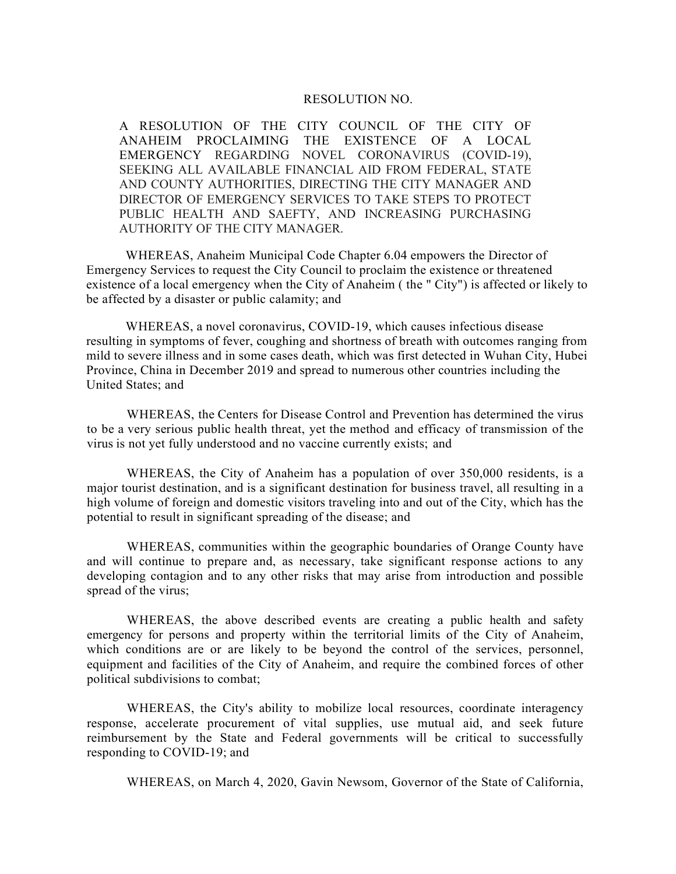## RESOLUTION NO.

A RESOLUTION OF THE CITY COUNCIL OF THE CITY OF ANAHEIM PROCLAIMING THE EXISTENCE OF A LOCAL EMERGENCY REGARDING NOVEL CORONAVIRUS (COVID-19), SEEKING ALL AVAILABLE FINANCIAL AID FROM FEDERAL, STATE AND COUNTY AUTHORITIES, DIRECTING THE CITY MANAGER AND DIRECTOR OF EMERGENCY SERVICES TO TAKE STEPS TO PROTECT PUBLIC HEALTH AND SAEFTY, AND INCREASING PURCHASING AUTHORITY OF THE CITY MANAGER.

WHEREAS, Anaheim Municipal Code Chapter 6.04 empowers the Director of Emergency Services to request the City Council to proclaim the existence or threatened existence of a local emergency when the City of Anaheim ( the " City") is affected or likely to be affected by a disaster or public calamity; and

WHEREAS, a novel coronavirus, COVID-19, which causes infectious disease resulting in symptoms of fever, coughing and shortness of breath with outcomes ranging from mild to severe illness and in some cases death, which was first detected in Wuhan City, Hubei Province, China in December 2019 and spread to numerous other countries including the United States; and

WHEREAS, the Centers for Disease Control and Prevention has determined the virus to be a very serious public health threat, yet the method and efficacy of transmission of the virus is not yet fully understood and no vaccine currently exists; and

WHEREAS, the City of Anaheim has a population of over 350,000 residents, is a major tourist destination, and is a significant destination for business travel, all resulting in a high volume of foreign and domestic visitors traveling into and out of the City, which has the potential to result in significant spreading of the disease; and

WHEREAS, communities within the geographic boundaries of Orange County have and will continue to prepare and, as necessary, take significant response actions to any developing contagion and to any other risks that may arise from introduction and possible spread of the virus;

WHEREAS, the above described events are creating a public health and safety emergency for persons and property within the territorial limits of the City of Anaheim, which conditions are or are likely to be beyond the control of the services, personnel, equipment and facilities of the City of Anaheim, and require the combined forces of other political subdivisions to combat;

WHEREAS, the City's ability to mobilize local resources, coordinate interagency response, accelerate procurement of vital supplies, use mutual aid, and seek future reimbursement by the State and Federal governments will be critical to successfully responding to COVID-19; and

WHEREAS, on March 4, 2020, Gavin Newsom, Governor of the State of California,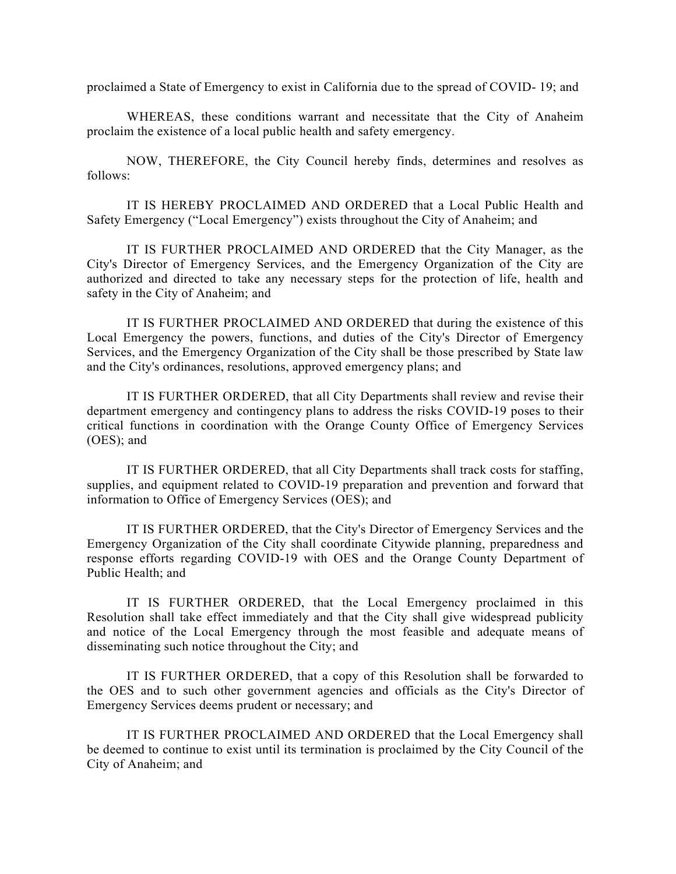proclaimed a State of Emergency to exist in California due to the spread of COVID- 19; and

WHEREAS, these conditions warrant and necessitate that the City of Anaheim proclaim the existence of a local public health and safety emergency.

NOW, THEREFORE, the City Council hereby finds, determines and resolves as follows:

IT IS HEREBY PROCLAIMED AND ORDERED that a Local Public Health and Safety Emergency ("Local Emergency") exists throughout the City of Anaheim; and

IT IS FURTHER PROCLAIMED AND ORDERED that the City Manager, as the City's Director of Emergency Services, and the Emergency Organization of the City are authorized and directed to take any necessary steps for the protection of life, health and safety in the City of Anaheim; and

IT IS FURTHER PROCLAIMED AND ORDERED that during the existence of this Local Emergency the powers, functions, and duties of the City's Director of Emergency Services, and the Emergency Organization of the City shall be those prescribed by State law and the City's ordinances, resolutions, approved emergency plans; and

IT IS FURTHER ORDERED, that all City Departments shall review and revise their department emergency and contingency plans to address the risks COVID-19 poses to their critical functions in coordination with the Orange County Office of Emergency Services (OES); and

IT IS FURTHER ORDERED, that all City Departments shall track costs for staffing, supplies, and equipment related to COVID-19 preparation and prevention and forward that information to Office of Emergency Services (OES); and

IT IS FURTHER ORDERED, that the City's Director of Emergency Services and the Emergency Organization of the City shall coordinate Citywide planning, preparedness and response efforts regarding COVID-19 with OES and the Orange County Department of Public Health; and

IT IS FURTHER ORDERED, that the Local Emergency proclaimed in this Resolution shall take effect immediately and that the City shall give widespread publicity and notice of the Local Emergency through the most feasible and adequate means of disseminating such notice throughout the City; and

IT IS FURTHER ORDERED, that a copy of this Resolution shall be forwarded to the OES and to such other government agencies and officials as the City's Director of Emergency Services deems prudent or necessary; and

IT IS FURTHER PROCLAIMED AND ORDERED that the Local Emergency shall be deemed to continue to exist until its termination is proclaimed by the City Council of the City of Anaheim; and